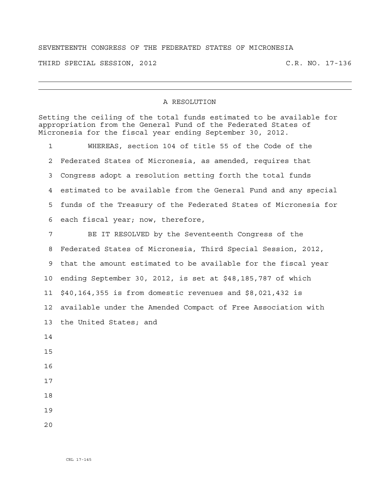## SEVENTEENTH CONGRESS OF THE FEDERATED STATES OF MICRONESIA

THIRD SPECIAL SESSION, 2012 C.R. NO. 17-136

## A RESOLUTION

Setting the ceiling of the total funds estimated to be available for appropriation from the General Fund of the Federated States of Micronesia for the fiscal year ending September 30, 2012.

1 WHEREAS, section 104 of title 55 of the Code of the 2 Federated States of Micronesia, as amended, requires that 3 Congress adopt a resolution setting forth the total funds 4 estimated to be available from the General Fund and any special 5 funds of the Treasury of the Federated States of Micronesia for 6 each fiscal year; now, therefore,

7 BE IT RESOLVED by the Seventeenth Congress of the 8 Federated States of Micronesia, Third Special Session, 2012, 9 that the amount estimated to be available for the fiscal year 10 ending September 30, 2012, is set at \$48,185,787 of which 11 \$40,164,355 is from domestic revenues and \$8,021,432 is 12 available under the Amended Compact of Free Association with 13 the United States; and 14 15 16 17

- 18
- 19
- $2.0$